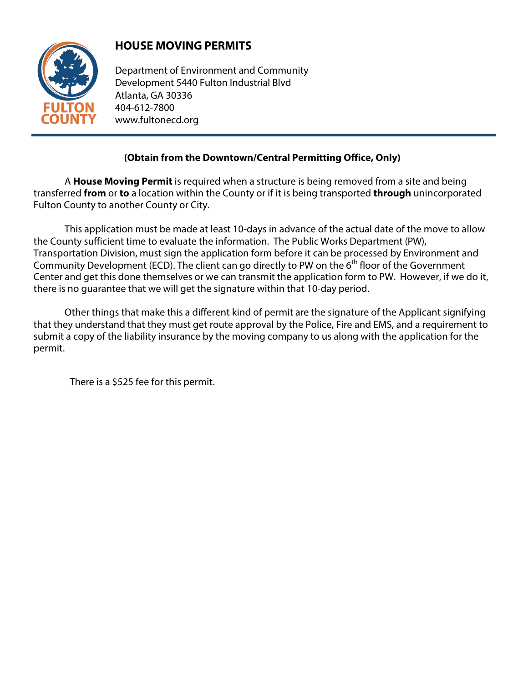

## **HOUSE MOVING PERMITS**

Department of Environment and Community Development 5440 Fulton Industrial Blvd Atlanta, GA 30336 404-612-7800 www.fultonecd.org

## **(Obtain from the Downtown/Central Permitting Office, Only)**

A **House Moving Permit** is required when a structure is being removed from a site and being transferred **from** or **to** a location within the County or if it is being transported **through** unincorporated Fulton County to another County or City.

This application must be made at least 10-days in advance of the actual date of the move to allow the County sufficient time to evaluate the information. The Public Works Department (PW), Transportation Division, must sign the application form before it can be processed by Environment and Community Development (ECD). The client can go directly to PW on the 6<sup>th</sup> floor of the Government Center and get this done themselves or we can transmit the application form to PW. However, if we do it, there is no guarantee that we will get the signature within that 10-day period.

Other things that make this a different kind of permit are the signature of the Applicant signifying that they understand that they must get route approval by the Police, Fire and EMS, and a requirement to submit a copy of the liability insurance by the moving company to us along with the application for the permit.

There is a \$525 fee for this permit.